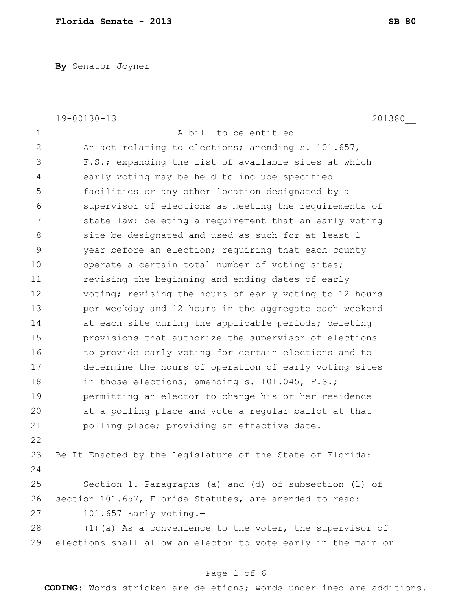**By** Senator Joyner

|                | 19-00130-13<br>201380                                         |
|----------------|---------------------------------------------------------------|
| $\mathbf 1$    | A bill to be entitled                                         |
| $\overline{2}$ | An act relating to elections; amending s. 101.657,            |
| 3              | F.S.; expanding the list of available sites at which          |
| $\overline{4}$ | early voting may be held to include specified                 |
| 5              | facilities or any other location designated by a              |
| 6              | supervisor of elections as meeting the requirements of        |
| 7              | state law; deleting a requirement that an early voting        |
| 8              | site be designated and used as such for at least 1            |
| $\mathsf 9$    | year before an election; requiring that each county           |
| 10             | operate a certain total number of voting sites;               |
| 11             | revising the beginning and ending dates of early              |
| 12             | voting; revising the hours of early voting to 12 hours        |
| 13             | per weekday and 12 hours in the aggregate each weekend        |
| 14             | at each site during the applicable periods; deleting          |
| 15             | provisions that authorize the supervisor of elections         |
| 16             | to provide early voting for certain elections and to          |
| 17             | determine the hours of operation of early voting sites        |
| 18             | in those elections; amending s. 101.045, F.S.;                |
| 19             | permitting an elector to change his or her residence          |
| 20             | at a polling place and vote a regular ballot at that          |
| 21             | polling place; providing an effective date.                   |
| 22             |                                                               |
| 23             | Be It Enacted by the Legislature of the State of Florida:     |
| 24             |                                                               |
| 25             | Section 1. Paragraphs (a) and (d) of subsection (1) of        |
| 26             | section 101.657, Florida Statutes, are amended to read:       |
| 27             | $101.657$ Early voting.-                                      |
| 28             | $(1)$ (a) As a convenience to the voter, the supervisor of    |
| 29             | elections shall allow an elector to vote early in the main or |
|                |                                                               |

# Page 1 of 6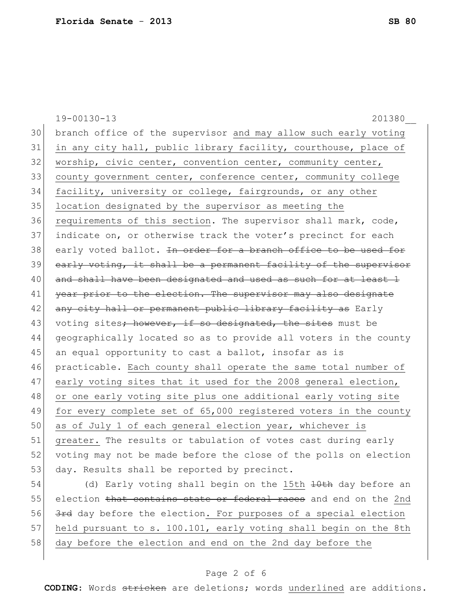19-00130-13 201380\_\_ 30 branch office of the supervisor and may allow such early voting 31 in any city hall, public library facility, courthouse, place of 32 worship, civic center, convention center, community center, 33 county government center, conference center, community college 34 facility, university or college, fairgrounds, or any other 35 location designated by the supervisor as meeting the 36 requirements of this section. The supervisor shall mark, code, 37 indicate on, or otherwise track the voter's precinct for each 38 early voted ballot. In order for a branch office to be used for 39 early voting, it shall be a permanent facility of the supervisor 40 and shall have been designated and used as such for at least 1 41 year prior to the election. The supervisor may also designate 42 any city hall or permanent public library facility as Early 43 voting sites<del>; however, if so designated, the sites</del> must be 44 geographically located so as to provide all voters in the county 45 an equal opportunity to cast a ballot, insofar as is 46 practicable. Each county shall operate the same total number of 47 early voting sites that it used for the 2008 general election, 48 or one early voting site plus one additional early voting site 49 for every complete set of 65,000 registered voters in the county 50 as of July 1 of each general election year, whichever is 51 | greater. The results or tabulation of votes cast during early 52 voting may not be made before the close of the polls on election 53 day. Results shall be reported by precinct. 54 (d) Early voting shall begin on the 15th <del>10th</del> day before an

55 election that contains state or federal races and end on the 2nd 56 3rd day before the election. For purposes of a special election 57 held pursuant to s. 100.101, early voting shall begin on the 8th 58 day before the election and end on the 2nd day before the

#### Page 2 of 6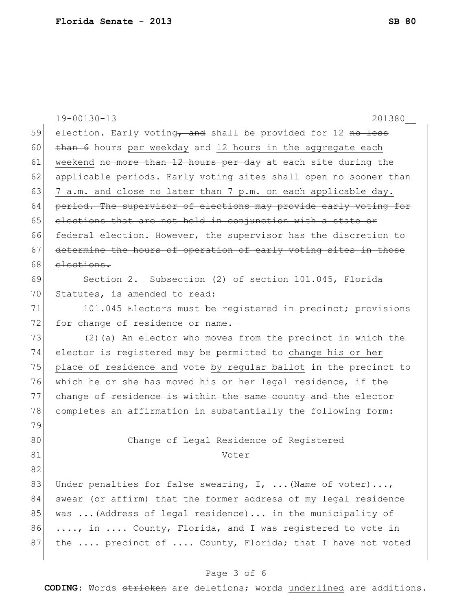|    | $19 - 00130 - 13$<br>201380                                      |
|----|------------------------------------------------------------------|
| 59 | election. Early voting, and shall be provided for 12 no less     |
| 60 | than 6 hours per weekday and 12 hours in the aggregate each      |
| 61 | weekend no more than 12 hours per day at each site during the    |
| 62 | applicable periods. Early voting sites shall open no sooner than |
| 63 | 7 a.m. and close no later than 7 p.m. on each applicable day.    |
| 64 | period. The supervisor of elections may provide early voting for |
| 65 | elections that are not held in conjunction with a state or       |
| 66 | federal election. However, the supervisor has the discretion to  |
| 67 | determine the hours of operation of early voting sites in those  |
| 68 | elections.                                                       |
| 69 | Section 2. Subsection (2) of section 101.045, Florida            |
| 70 | Statutes, is amended to read:                                    |
| 71 | 101.045 Electors must be registered in precinct; provisions      |
| 72 | for change of residence or name.-                                |
| 73 | (2) (a) An elector who moves from the precinct in which the      |
| 74 | elector is registered may be permitted to change his or her      |
| 75 | place of residence and vote by regular ballot in the precinct to |
| 76 | which he or she has moved his or her legal residence, if the     |
| 77 | change of residence is within the same county and the elector    |
| 78 | completes an affirmation in substantially the following form:    |
| 79 |                                                                  |
| 80 | Change of Legal Residence of Registered                          |
| 81 | Voter                                                            |
| 82 |                                                                  |
| 83 | Under penalties for false swearing, I,  (Name of voter),         |
| 84 | swear (or affirm) that the former address of my legal residence  |
| 85 | was  (Address of legal residence) in the municipality of         |
| 86 | , in  County, Florida, and I was registered to vote in           |
| 87 | the  precinct of  County, Florida; that I have not voted         |
|    |                                                                  |
|    |                                                                  |

### Page 3 of 6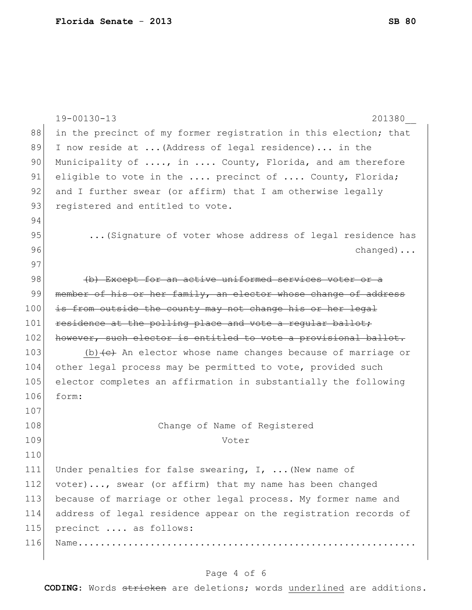|     | $19 - 00130 - 13$<br>201380                                                        |
|-----|------------------------------------------------------------------------------------|
| 88  | in the precinct of my former registration in this election; that                   |
| 89  | I now reside at  (Address of legal residence) in the                               |
| 90  | Municipality of , in  County, Florida, and am therefore                            |
| 91  | eligible to vote in the  precinct of  County, Florida;                             |
| 92  | and I further swear (or affirm) that I am otherwise legally                        |
| 93  | registered and entitled to vote.                                                   |
| 94  |                                                                                    |
| 95  | (Signature of voter whose address of legal residence has                           |
| 96  | $channel$                                                                          |
| 97  |                                                                                    |
| 98  | (b) Except for an active uniformed services voter or a                             |
| 99  | member of his or her family, an elector whose change of address                    |
| 100 | is from outside the county may not change his or her legal                         |
| 101 | residence at the polling place and vote a regular ballot;                          |
| 102 | however, such elector is entitled to vote a provisional ballot.                    |
| 103 | (b) $\left\{\text{e}\right\}$ An elector whose name changes because of marriage or |
| 104 | other legal process may be permitted to vote, provided such                        |
| 105 | elector completes an affirmation in substantially the following                    |
| 106 | form:                                                                              |
| 107 |                                                                                    |
| 108 | Change of Name of Registered                                                       |
| 109 | Voter                                                                              |
| 110 |                                                                                    |
| 111 | Under penalties for false swearing, $I$ ,  (New name of                            |
| 112 | voter), swear (or affirm) that my name has been changed                            |
| 113 | because of marriage or other legal process. My former name and                     |
| 114 | address of legal residence appear on the registration records of                   |
| 115 | precinct  as follows:                                                              |
| 116 |                                                                                    |
|     |                                                                                    |

## Page 4 of 6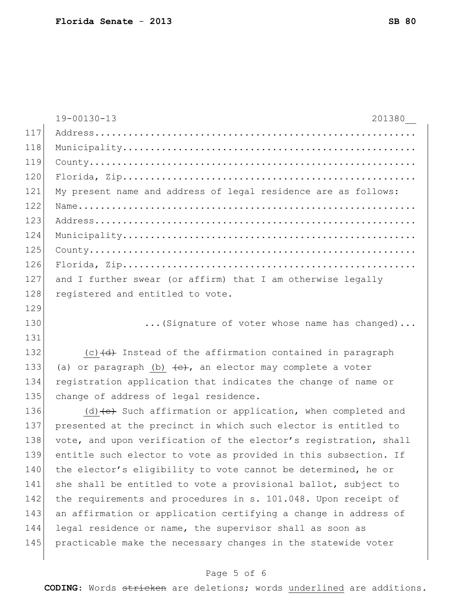|     | 19-00130-13<br>201380                                               |
|-----|---------------------------------------------------------------------|
| 117 |                                                                     |
| 118 |                                                                     |
| 119 |                                                                     |
| 120 |                                                                     |
| 121 | My present name and address of legal residence are as follows:      |
| 122 |                                                                     |
| 123 |                                                                     |
| 124 |                                                                     |
| 125 |                                                                     |
| 126 |                                                                     |
| 127 | and I further swear (or affirm) that I am otherwise legally         |
| 128 | registered and entitled to vote.                                    |
| 129 |                                                                     |
| 130 | (Signature of voter whose name has changed)                         |
| 131 |                                                                     |
| 132 | $(c)$ $(d)$ Instead of the affirmation contained in paragraph       |
| 133 | (a) or paragraph (b) $\leftarrow$ , an elector may complete a voter |
| 134 | registration application that indicates the change of name or       |
| 135 | change of address of legal residence.                               |
| 136 | $(d)$ (d) $(e)$ Such affirmation or application, when completed and |
| 137 | presented at the precinct in which such elector is entitled to      |
| 138 | vote, and upon verification of the elector's registration, shall    |
| 139 | entitle such elector to vote as provided in this subsection. If     |
| 140 | the elector's eligibility to vote cannot be determined, he or       |
| 141 | she shall be entitled to vote a provisional ballot, subject to      |
| 142 | the requirements and procedures in s. 101.048. Upon receipt of      |
| 143 | an affirmation or application certifying a change in address of     |
| 144 | legal residence or name, the supervisor shall as soon as            |
| 145 | practicable make the necessary changes in the statewide voter       |

## Page 5 of 6